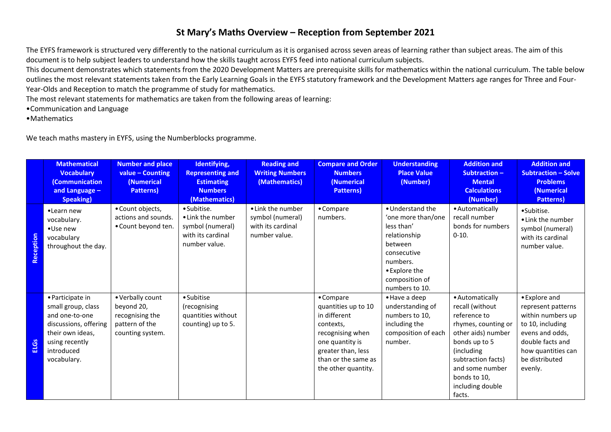## **St Mary's Maths Overview – Reception from September 2021**

The EYFS framework is structured very differently to the national curriculum as it is organised across seven areas of learning rather than subject areas. The aim of this document is to help subject leaders to understand how the skills taught across EYFS feed into national curriculum subjects.

This document demonstrates which statements from the 2020 Development Matters are prerequisite skills for mathematics within the national curriculum. The table below outlines the most relevant statements taken from the Early Learning Goals in the EYFS statutory framework and the Development Matters age ranges for Three and Four-Year-Olds and Reception to match the programme of study for mathematics.

The most relevant statements for mathematics are taken from the following areas of learning:

- •Communication and Language
- •Mathematics

We teach maths mastery in EYFS, using the Numberblocks programme.

|             | <b>Mathematical</b><br><b>Vocabulary</b><br>(Communication<br>and Language -<br><b>Speaking</b> )                                                    | <b>Number and place</b><br>$value - Counting$<br>(Numerical<br><b>Patterns</b> )        | Identifying,<br><b>Representing and</b><br><b>Estimating</b><br><b>Numbers</b><br>(Mathematics) | <b>Reading and</b><br><b>Writing Numbers</b><br>(Mathematics)               | <b>Compare and Order</b><br><b>Numbers</b><br>(Numerical<br><b>Patterns</b> )                                                                                            | <b>Understanding</b><br><b>Place Value</b><br>(Number)                                                                                                          | <b>Addition and</b><br>Subtraction-<br><b>Mental</b><br><b>Calculations</b><br>(Number)                                                                                                                               | <b>Addition and</b><br><b>Subtraction - Solve</b><br><b>Problems</b><br>(Numerical<br>Patterns)                                                                        |
|-------------|------------------------------------------------------------------------------------------------------------------------------------------------------|-----------------------------------------------------------------------------------------|-------------------------------------------------------------------------------------------------|-----------------------------------------------------------------------------|--------------------------------------------------------------------------------------------------------------------------------------------------------------------------|-----------------------------------------------------------------------------------------------------------------------------------------------------------------|-----------------------------------------------------------------------------------------------------------------------------------------------------------------------------------------------------------------------|------------------------------------------------------------------------------------------------------------------------------------------------------------------------|
| Reception   | •Learn new<br>vocabulary.<br>•Use new<br>vocabulary<br>throughout the day.                                                                           | • Count objects,<br>actions and sounds.<br>• Count beyond ten.                          | · Subitise.<br>• Link the number<br>symbol (numeral)<br>with its cardinal<br>number value.      | • Link the number<br>symbol (numeral)<br>with its cardinal<br>number value. | • Compare<br>numbers.                                                                                                                                                    | • Understand the<br>'one more than/one<br>less than'<br>relationship<br>between<br>consecutive<br>numbers.<br>• Explore the<br>composition of<br>numbers to 10. | • Automatically<br>recall number<br>bonds for numbers<br>$0-10.$                                                                                                                                                      | •Subitise.<br>• Link the number<br>symbol (numeral)<br>with its cardinal<br>number value.                                                                              |
| <b>ELGS</b> | • Participate in<br>small group, class<br>and one-to-one<br>discussions, offering<br>their own ideas,<br>using recently<br>introduced<br>vocabulary. | • Verbally count<br>beyond 20,<br>recognising the<br>pattern of the<br>counting system. | • Subitise<br>(recognising<br>quantities without<br>counting) up to 5.                          |                                                                             | • Compare<br>quantities up to 10<br>in different<br>contexts,<br>recognising when<br>one quantity is<br>greater than, less<br>than or the same as<br>the other quantity. | • Have a deep<br>understanding of<br>numbers to 10,<br>including the<br>composition of each<br>number.                                                          | • Automatically<br>recall (without<br>reference to<br>rhymes, counting or<br>other aids) number<br>bonds up to 5<br>(including<br>subtraction facts)<br>and some number<br>bonds to 10,<br>including double<br>facts. | • Explore and<br>represent patterns<br>within numbers up<br>to 10, including<br>evens and odds,<br>double facts and<br>how quantities can<br>be distributed<br>evenly. |